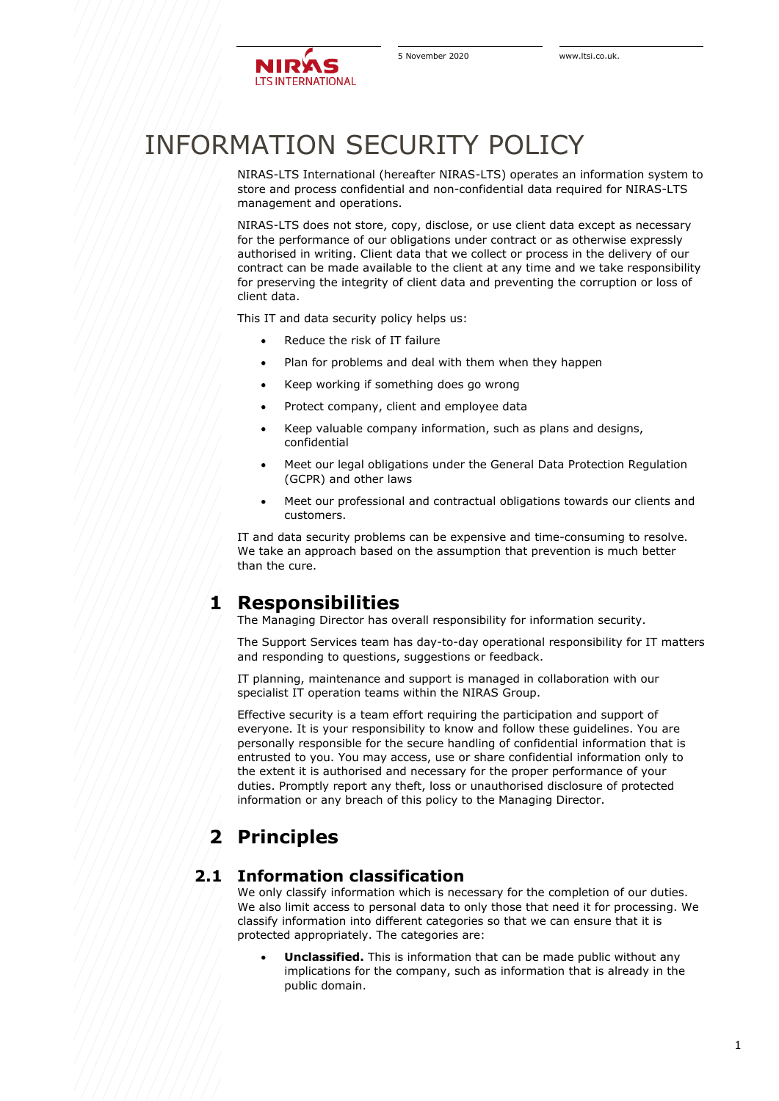

# INFORMATION SECURITY POLICY

NIRAS-LTS International (hereafter NIRAS-LTS) operates an information system to store and process confidential and non-confidential data required for NIRAS-LTS management and operations.

NIRAS-LTS does not store, copy, disclose, or use client data except as necessary for the performance of our obligations under contract or as otherwise expressly authorised in writing. Client data that we collect or process in the delivery of our contract can be made available to the client at any time and we take responsibility for preserving the integrity of client data and preventing the corruption or loss of client data.

This IT and data security policy helps us:

- Reduce the risk of IT failure
- Plan for problems and deal with them when they happen
- Keep working if something does go wrong
- Protect company, client and employee data
- Keep valuable company information, such as plans and designs, confidential
- Meet our legal obligations under the General Data Protection Regulation (GCPR) and other laws
- Meet our professional and contractual obligations towards our clients and customers.

IT and data security problems can be expensive and time-consuming to resolve. We take an approach based on the assumption that prevention is much better than the cure.

# **1 Responsibilities**

The Managing Director has overall responsibility for information security.

The Support Services team has day-to-day operational responsibility for IT matters and responding to questions, suggestions or feedback.

IT planning, maintenance and support is managed in collaboration with our specialist IT operation teams within the NIRAS Group.

Effective security is a team effort requiring the participation and support of everyone. It is your responsibility to know and follow these guidelines. You are personally responsible for the secure handling of confidential information that is entrusted to you. You may access, use or share confidential information only to the extent it is authorised and necessary for the proper performance of your duties. Promptly report any theft, loss or unauthorised disclosure of protected information or any breach of this policy to the Managing Director.

# **2 Principles**

#### **2.1 Information classification**

We only classify information which is necessary for the completion of our duties. We also limit access to personal data to only those that need it for processing. We classify information into different categories so that we can ensure that it is protected appropriately. The categories are:

• **Unclassified.** This is information that can be made public without any implications for the company, such as information that is already in the public domain.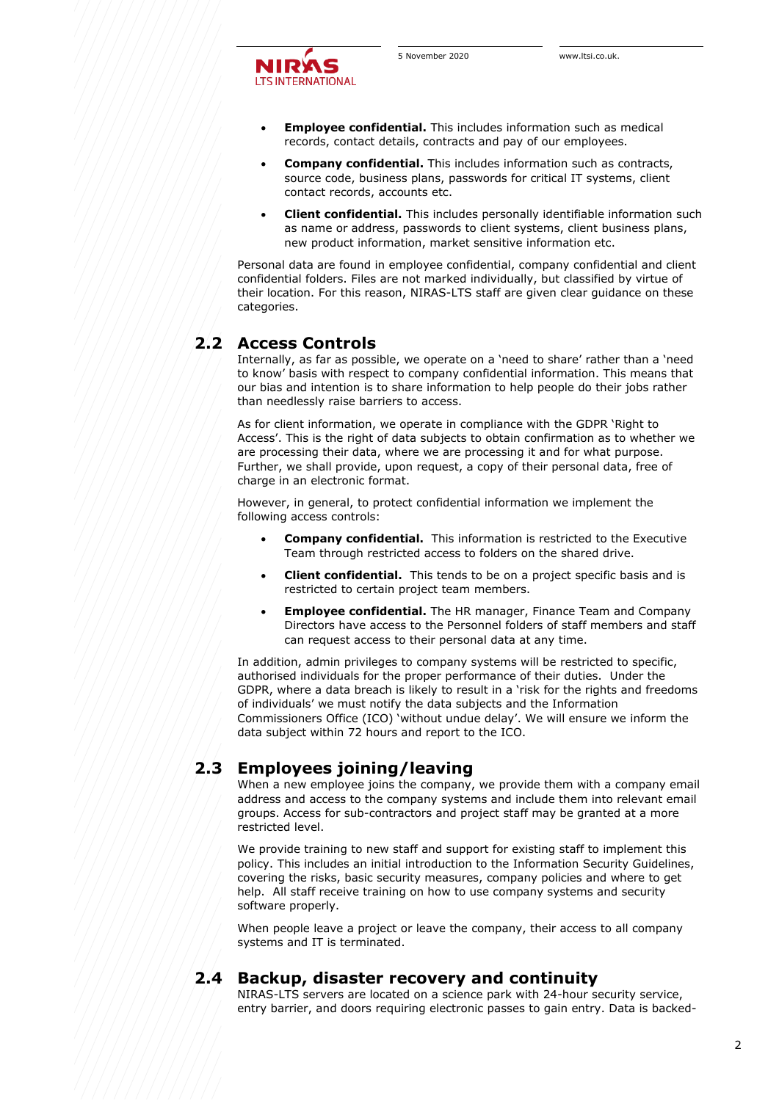

- **Employee confidential.** This includes information such as medical records, contact details, contracts and pay of our employees.
- **Company confidential.** This includes information such as contracts, source code, business plans, passwords for critical IT systems, client contact records, accounts etc.
- **Client confidential.** This includes personally identifiable information such as name or address, passwords to client systems, client business plans, new product information, market sensitive information etc.

Personal data are found in employee confidential, company confidential and client confidential folders. Files are not marked individually, but classified by virtue of their location. For this reason, NIRAS-LTS staff are given clear guidance on these categories.

### **2.2 Access Controls**

Internally, as far as possible, we operate on a 'need to share' rather than a 'need to know' basis with respect to company confidential information. This means that our bias and intention is to share information to help people do their jobs rather than needlessly raise barriers to access.

As for client information, we operate in compliance with the GDPR 'Right to Access'. This is the right of data subjects to obtain confirmation as to whether we are processing their data, where we are processing it and for what purpose. Further, we shall provide, upon request, a copy of their personal data, free of charge in an electronic format.

However, in general, to protect confidential information we implement the following access controls:

- **Company confidential.** This information is restricted to the Executive Team through restricted access to folders on the shared drive.
- **Client confidential.** This tends to be on a project specific basis and is restricted to certain project team members.
- **Employee confidential.** The HR manager, Finance Team and Company Directors have access to the Personnel folders of staff members and staff can request access to their personal data at any time.

In addition, admin privileges to company systems will be restricted to specific, authorised individuals for the proper performance of their duties. Under the GDPR, where a data breach is likely to result in a 'risk for the rights and freedoms of individuals' we must notify the data subjects and the Information Commissioners Office (ICO) 'without undue delay'. We will ensure we inform the data subject within 72 hours and report to the ICO.

# **2.3 Employees joining/leaving**

When a new employee joins the company, we provide them with a company email address and access to the company systems and include them into relevant email groups. Access for sub-contractors and project staff may be granted at a more restricted level.

We provide training to new staff and support for existing staff to implement this policy. This includes an initial introduction to the Information Security Guidelines, covering the risks, basic security measures, company policies and where to get help. All staff receive training on how to use company systems and security software properly.

When people leave a project or leave the company, their access to all company systems and IT is terminated.

# **2.4 Backup, disaster recovery and continuity**

NIRAS-LTS servers are located on a science park with 24-hour security service, entry barrier, and doors requiring electronic passes to gain entry. Data is backed-